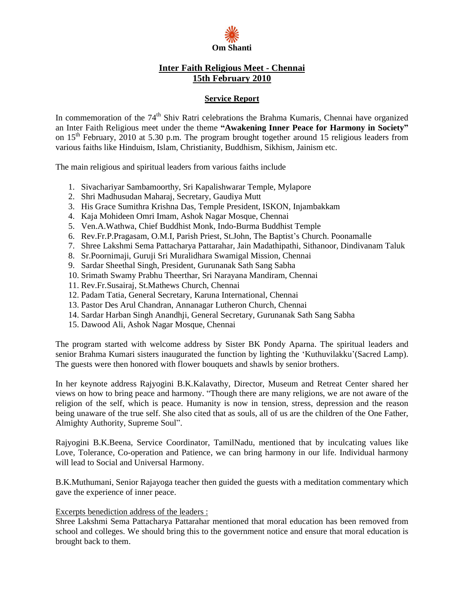

## **Inter Faith Religious Meet - Chennai 15th February 2010**

## **Service Report**

In commemoration of the 74<sup>th</sup> Shiv Ratri celebrations the Brahma Kumaris, Chennai have organized an Inter Faith Religious meet under the theme **ìAwakening Inner Peace for Harmony in Societyî** on 15<sup>th</sup> February, 2010 at 5.30 p.m. The program brought together around 15 religious leaders from various faiths like Hinduism, Islam, Christianity, Buddhism, Sikhism, Jainism etc.

The main religious and spiritual leaders from various faiths include

- 1. Sivachariyar Sambamoorthy, Sri Kapalishwarar Temple, Mylapore
- 2. Shri Madhusudan Maharaj, Secretary, Gaudiya Mutt
- 3. His Grace Sumithra Krishna Das, Temple President, ISKON, Injambakkam
- 4. Kaja Mohideen Omri Imam, Ashok Nagar Mosque, Chennai
- 5. Ven.A.Wathwa, Chief Buddhist Monk, Indo-Burma Buddhist Temple
- 6. Rev.Fr.P.Pragasam, O.M.I, Parish Priest, St.John, The Baptist's Church. Poonamalle
- 7. Shree Lakshmi Sema Pattacharya Pattarahar, Jain Madathipathi, Sithanoor, Dindivanam Taluk
- 8. Sr.Poornimaji, Guruji Sri Muralidhara Swamigal Mission, Chennai
- 9. Sardar Sheethal Singh, President, Gurunanak Sath Sang Sabha
- 10. Srimath Swamy Prabhu Theerthar, Sri Narayana Mandiram, Chennai
- 11. Rev.Fr.Susairaj, St.Mathews Church, Chennai
- 12. Padam Tatia, General Secretary, Karuna International, Chennai
- 13. Pastor Des Arul Chandran, Annanagar Lutheron Church, Chennai
- 14. Sardar Harban Singh Anandhji, General Secretary, Gurunanak Sath Sang Sabha
- 15. Dawood Ali, Ashok Nagar Mosque, Chennai

The program started with welcome address by Sister BK Pondy Aparna. The spiritual leaders and senior Brahma Kumari sisters inaugurated the function by lighting the 'Kuthuvilakku'(Sacred Lamp). The guests were then honored with flower bouquets and shawls by senior brothers.

In her keynote address Rajyogini B.K.Kalavathy, Director, Museum and Retreat Center shared her views on how to bring peace and harmony. "Though there are many religions, we are not aware of the religion of the self, which is peace. Humanity is now in tension, stress, depression and the reason being unaware of the true self. She also cited that as souls, all of us are the children of the One Father, Almighty Authority, Supreme Soul".

Rajyogini B.K.Beena, Service Coordinator, TamilNadu, mentioned that by inculcating values like Love, Tolerance, Co-operation and Patience, we can bring harmony in our life. Individual harmony will lead to Social and Universal Harmony.

B.K.Muthumani, Senior Rajayoga teacher then guided the guests with a meditation commentary which gave the experience of inner peace.

## Excerpts benediction address of the leaders :

Shree Lakshmi Sema Pattacharya Pattarahar mentioned that moral education has been removed from school and colleges. We should bring this to the government notice and ensure that moral education is brought back to them.